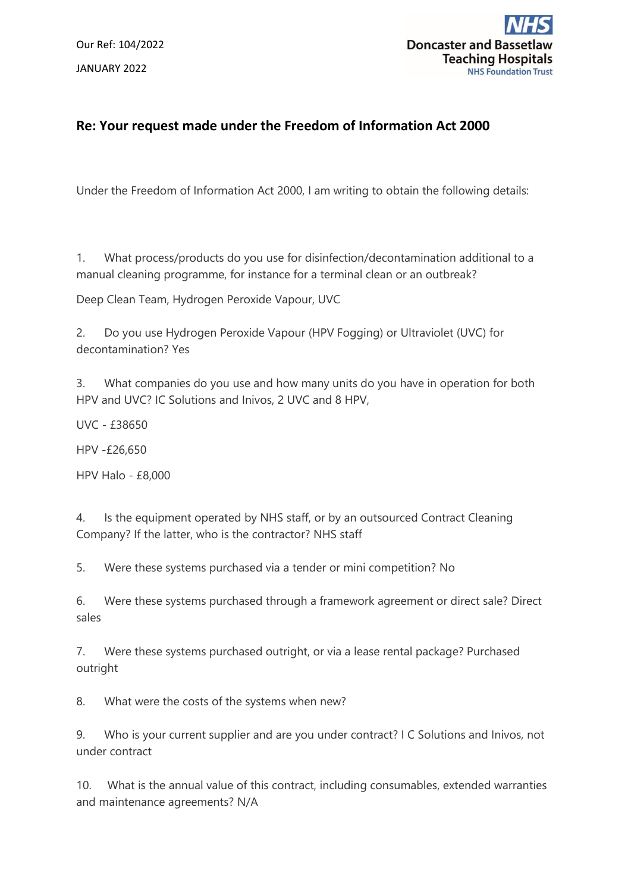Our Ref: 104/2022 JANUARY 2022



## **Re: Your request made under the Freedom of Information Act 2000**

Under the Freedom of Information Act 2000, I am writing to obtain the following details:

1. What process/products do you use for disinfection/decontamination additional to a manual cleaning programme, for instance for a terminal clean or an outbreak?

Deep Clean Team, Hydrogen Peroxide Vapour, UVC

2. Do you use Hydrogen Peroxide Vapour (HPV Fogging) or Ultraviolet (UVC) for decontamination? Yes

3. What companies do you use and how many units do you have in operation for both HPV and UVC? IC Solutions and Inivos, 2 UVC and 8 HPV,

UVC - £38650

HPV -£26,650

HPV Halo - £8,000

4. Is the equipment operated by NHS staff, or by an outsourced Contract Cleaning Company? If the latter, who is the contractor? NHS staff

5. Were these systems purchased via a tender or mini competition? No

6. Were these systems purchased through a framework agreement or direct sale? Direct sales

7. Were these systems purchased outright, or via a lease rental package? Purchased outright

8. What were the costs of the systems when new?

9. Who is your current supplier and are you under contract? I C Solutions and Inivos, not under contract

10. What is the annual value of this contract, including consumables, extended warranties and maintenance agreements? N/A